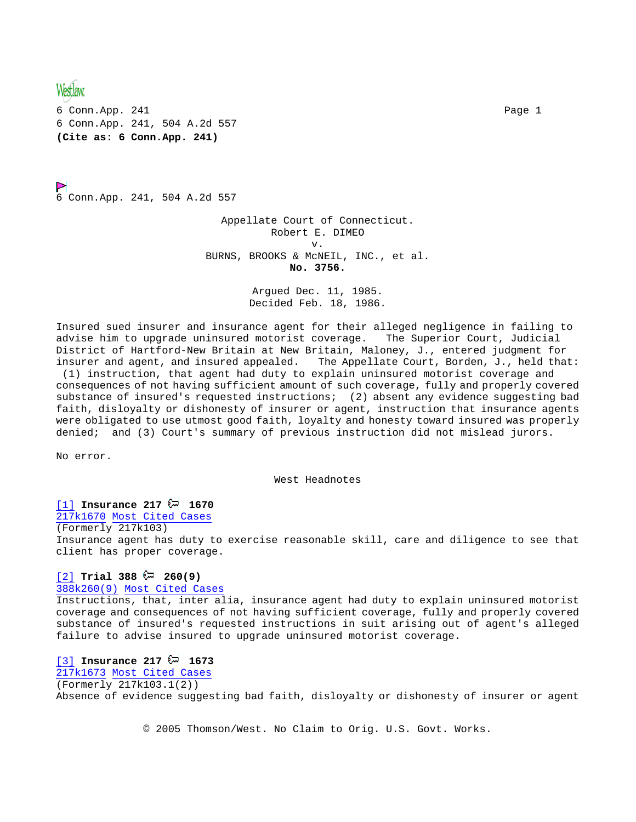Westlaw

6 Conn.App. 241 Page 1 6 Conn.App. 241, 504 A.2d 557 **(Cite as: 6 Conn.App. 241)**

6 Conn.App. 241, 504 A.2d 557

Appellate Court of Connecticut. Robert E. DIMEO v. BURNS, BROOKS & McNEIL, INC., et al. **No. 3756.**

> Argued Dec. 11, 1985. Decided Feb. 18, 1986.

Insured sued insurer and insurance agent for their alleged negligence in failing to advise him to upgrade uninsured motorist coverage. The Superior Court, Judicial District of Hartford-New Britain at New Britain, Maloney, J., entered judgment for insurer and agent, and insured appealed. The Appellate Court, Borden, J., held that: (1) instruction, that agent had duty to explain uninsured motorist coverage and consequences of not having sufficient amount of such coverage, fully and properly covered substance of insured's requested instructions; (2) absent any evidence suggesting bad faith, disloyalty or dishonesty of insurer or agent, instruction that insurance agents were obligated to use utmost good faith, loyalty and honesty toward insured was properly denied; and (3) Court's summary of previous instruction did not mislead jurors.

No error.

West Headnotes

### $[1]$  **Insurance 217**  $\approx$  1670

217k1670 Most Cited Cases (Formerly 217k103) Insurance agent has duty to exercise reasonable skill, care and diligence to see that client has proper coverage.

### $[2]$  Trial 388  $\approx$  260(9)

### 388k260(9) Most Cited Cases

Instructions, that, inter alia, insurance agent had duty to explain uninsured motorist coverage and consequences of not having sufficient coverage, fully and properly covered substance of insured's requested instructions in suit arising out of agent's alleged failure to advise insured to upgrade uninsured motorist coverage.

### $[3]$  Insurance 217  $\approx$  1673

217k1673 Most Cited Cases (Formerly 217k103.1(2)) Absence of evidence suggesting bad faith, disloyalty or dishonesty of insurer or agent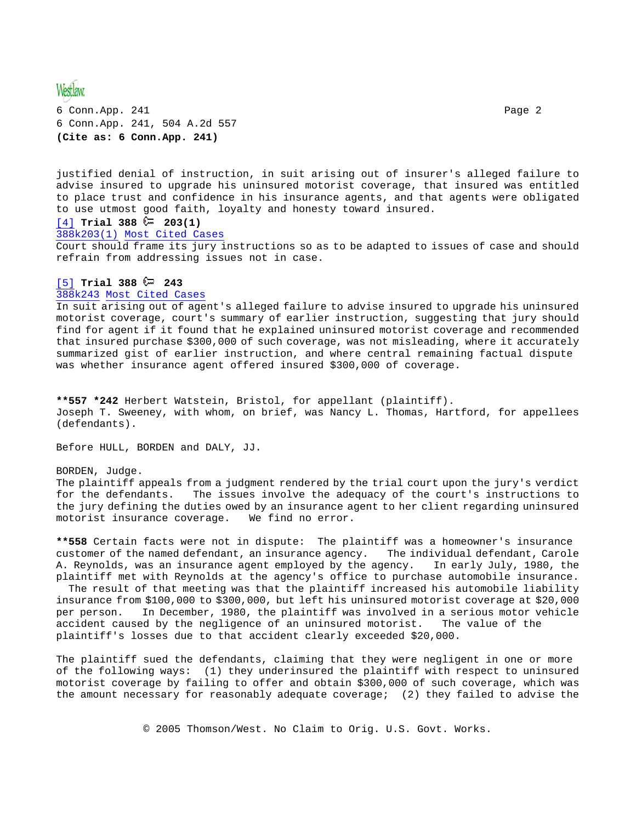

6 Conn.App. 241 Page 2 6 Conn.App. 241, 504 A.2d 557 **(Cite as: 6 Conn.App. 241)**

justified denial of instruction, in suit arising out of insurer's alleged failure to advise insured to upgrade his uninsured motorist coverage, that insured was entitled to place trust and confidence in his insurance agents, and that agents were obligated to use utmost good faith, loyalty and honesty toward insured.

# $[4]$  Trial 388  $\approx$  203(1)

## 388k203(1) Most Cited Cases

Court should frame its jury instructions so as to be adapted to issues of case and should refrain from addressing issues not in case.

### [5] **Trial 388 243**

### 388k243 Most Cited Cases

In suit arising out of agent's alleged failure to advise insured to upgrade his uninsured motorist coverage, court's summary of earlier instruction, suggesting that jury should find for agent if it found that he explained uninsured motorist coverage and recommended that insured purchase \$300,000 of such coverage, was not misleading, where it accurately summarized gist of earlier instruction, and where central remaining factual dispute was whether insurance agent offered insured \$300,000 of coverage.

**\*\*557 \*242** Herbert Watstein, Bristol, for appellant (plaintiff). Joseph T. Sweeney, with whom, on brief, was Nancy L. Thomas, Hartford, for appellees (defendants).

Before HULL, BORDEN and DALY, JJ.

#### BORDEN, Judge.

The plaintiff appeals from a judgment rendered by the trial court upon the jury's verdict for the defendants. The issues involve the adequacy of the court's instructions to the jury defining the duties owed by an insurance agent to her client regarding uninsured motorist insurance coverage. We find no error. motorist insurance coverage.

**\*\*558** Certain facts were not in dispute: The plaintiff was a homeowner's insurance customer of the named defendant, an insurance agency. The individual defendant, Carole<br>A. Reynolds, was an insurance agent employed by the agency. In early July, 1980, the A. Reynolds, was an insurance agent employed by the agency. plaintiff met with Reynolds at the agency's office to purchase automobile insurance.

 The result of that meeting was that the plaintiff increased his automobile liability insurance from \$100,000 to \$300,000, but left his uninsured motorist coverage at \$20,000 per person. In December, 1980, the plaintiff was involved in a serious motor vehicle accident caused by the negligence of an uninsured motorist. The value of the plaintiff's losses due to that accident clearly exceeded \$20,000.

The plaintiff sued the defendants, claiming that they were negligent in one or more of the following ways: (1) they underinsured the plaintiff with respect to uninsured motorist coverage by failing to offer and obtain \$300,000 of such coverage, which was the amount necessary for reasonably adequate coverage; (2) they failed to advise the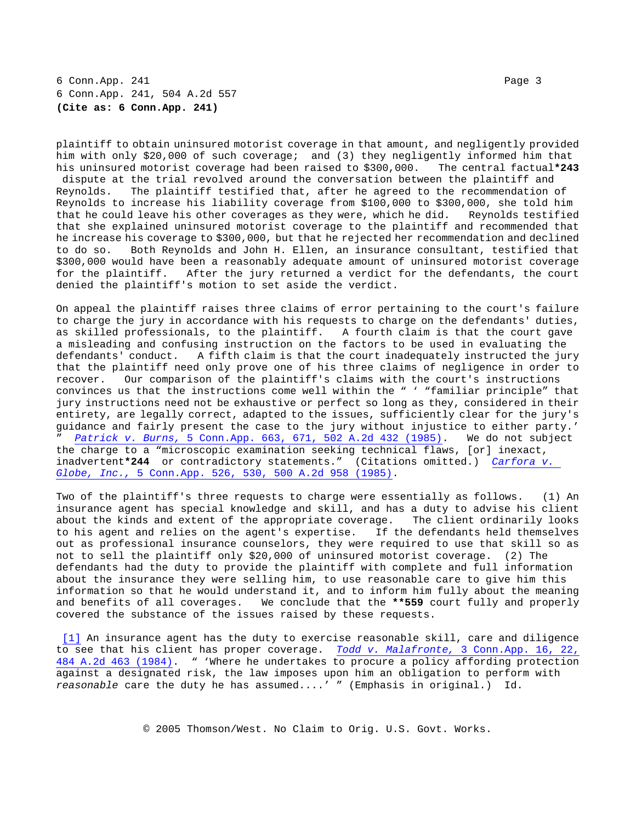6 Conn.App. 241 Page 3 6 Conn.App. 241, 504 A.2d 557 **(Cite as: 6 Conn.App. 241)**

plaintiff to obtain uninsured motorist coverage in that amount, and negligently provided him with only \$20,000 of such coverage; and (3) they negligently informed him that his uninsured motorist coverage had been raised to \$300,000. The central factual**\*243**

dispute at the trial revolved around the conversation between the plaintiff and<br>Revnolds. The plaintiff testified that, after he agreed to the recommendation The plaintiff testified that, after he agreed to the recommendation of Reynolds to increase his liability coverage from \$100,000 to \$300,000, she told him<br>that he could leave his other coverages as they were, which he did. Reynolds testified that he could leave his other coverages as they were, which he did. that she explained uninsured motorist coverage to the plaintiff and recommended that he increase his coverage to \$300,000, but that he rejected her recommendation and declined<br>to do so. Both Reynolds and John H. Ellen, an insurance consultant, testified that Both Reynolds and John H. Ellen, an insurance consultant, testified that \$300,000 would have been a reasonably adequate amount of uninsured motorist coverage for the plaintiff. After the jury returned a verdict for the defendants, the court denied the plaintiff's motion to set aside the verdict.

On appeal the plaintiff raises three claims of error pertaining to the court's failure to charge the jury in accordance with his requests to charge on the defendants' duties, as skilled professionals, to the plaintiff. A fourth claim is that the court gave a misleading and confusing instruction on the factors to be used in evaluating the defendants' conduct. A fifth claim is that the court inadequately instructed the jury that the plaintiff need only prove one of his three claims of negligence in order to recover. Our comparison of the plaintiff's claims with the court's instructions convinces us that the instructions come well within the " ' "familiar principle" that jury instructions need not be exhaustive or perfect so long as they, considered in their entirety, are legally correct, adapted to the issues, sufficiently clear for the jury's guidance and fairly present the case to the jury without injustice to either party.' " *Patrick v. Burns,* 5 Conn.App. 663, 671, 502 A.2d 432 (1985). We do not subject the charge to a "microscopic examination seeking technical flaws, [or] inexact, inadvertent**\*244** or contradictory statements." (Citations omitted.) *Carfora v. Globe, Inc.,* 5 Conn.App. 526, 530, 500 A.2d 958 (1985).

Two of the plaintiff's three requests to charge were essentially as follows. (1) An insurance agent has special knowledge and skill, and has a duty to advise his client<br>about the kinds and extent of the appropriate coverage. The client ordinarily looks about the kinds and extent of the appropriate coverage. to his agent and relies on the agent's expertise. If the defendants held themselves out as professional insurance counselors, they were required to use that skill so as not to sell the plaintiff only \$20,000 of uninsured motorist coverage. (2) The defendants had the duty to provide the plaintiff with complete and full information about the insurance they were selling him, to use reasonable care to give him this information so that he would understand it, and to inform him fully about the meaning and benefits of all coverages. We conclude that the **\*\*559** court fully and properly covered the substance of the issues raised by these requests.

[1] An insurance agent has the duty to exercise reasonable skill, care and diligence to see that his client has proper coverage. *Todd v. Malafronte,* 3 Conn.App. 16, 22, 484 A.2d 463 (1984). " 'Where he undertakes to procure a policy affording protection against a designated risk, the law imposes upon him an obligation to perform with *reasonable* care the duty he has assumed....' " (Emphasis in original.) Id.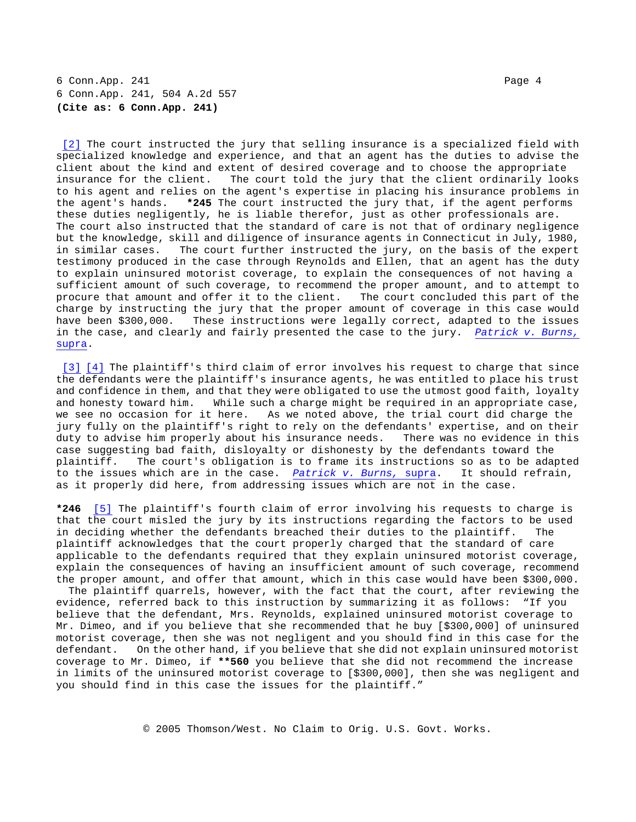6 Conn.App. 241 Page 4 6 Conn.App. 241, 504 A.2d 557 **(Cite as: 6 Conn.App. 241)**

[2] The court instructed the jury that selling insurance is a specialized field with specialized knowledge and experience, and that an agent has the duties to advise the client about the kind and extent of desired coverage and to choose the appropriate<br>insurance for the client. The court told the jury that the client ordinarily lool The court told the jury that the client ordinarily looks to his agent and relies on the agent's expertise in placing his insurance problems in<br>the agent's hands. \*245 The court instructed the jury that, if the agent performs \*245 The court instructed the jury that, if the agent performs these duties negligently, he is liable therefor, just as other professionals are. The court also instructed that the standard of care is not that of ordinary negligence but the knowledge, skill and diligence of insurance agents in Connecticut in July, 1980,<br>in similar cases. The court further instructed the jury, on the basis of the expert The court further instructed the jury, on the basis of the expert testimony produced in the case through Reynolds and Ellen, that an agent has the duty to explain uninsured motorist coverage, to explain the consequences of not having a sufficient amount of such coverage, to recommend the proper amount, and to attempt to procure that amount and offer it to the client. The court concluded this part of the charge by instructing the jury that the proper amount of coverage in this case would<br>have been \$300,000. These instructions were legally correct, adapted to the issues These instructions were legally correct, adapted to the issues in the case, and clearly and fairly presented the case to the jury. *Patrick v. Burns,* supra.

[3] [4] The plaintiff's third claim of error involves his request to charge that since the defendants were the plaintiff's insurance agents, he was entitled to place his trust and confidence in them, and that they were obligated to use the utmost good faith, loyalty<br>and honesty toward him. While such a charge might be required in an appropriate case, While such a charge might be required in an appropriate case, we see no occasion for it here. As we noted above, the trial court did charge the jury fully on the plaintiff's right to rely on the defendants' expertise, and on their duty to advise him properly about his insurance needs. There was no evidence in this case suggesting bad faith, disloyalty or dishonesty by the defendants toward the<br>plaintiff. The court's obligation is to frame its instructions so as to be ada The court's obligation is to frame its instructions so as to be adapted<br>es which are in the case. Patrick v. Burns, supra. It should refrain, to the issues which are in the case. *Patrick v. Burns,* supra. as it properly did here, from addressing issues which are not in the case.

**\*246** [5] The plaintiff's fourth claim of error involving his requests to charge is that the court misled the jury by its instructions regarding the factors to be used in deciding whether the defendants breached their duties to the plaintiff. The plaintiff acknowledges that the court properly charged that the standard of care applicable to the defendants required that they explain uninsured motorist coverage, explain the consequences of having an insufficient amount of such coverage, recommend the proper amount, and offer that amount, which in this case would have been \$300,000.

 The plaintiff quarrels, however, with the fact that the court, after reviewing the evidence, referred back to this instruction by summarizing it as follows: "If you believe that the defendant, Mrs. Reynolds, explained uninsured motorist coverage to Mr. Dimeo, and if you believe that she recommended that he buy [\$300,000] of uninsured motorist coverage, then she was not negligent and you should find in this case for the<br>defendant. On the other hand, if you believe that she did not explain uninsured motorist On the other hand, if you believe that she did not explain uninsured motorist coverage to Mr. Dimeo, if **\*\*560** you believe that she did not recommend the increase in limits of the uninsured motorist coverage to [\$300,000], then she was negligent and you should find in this case the issues for the plaintiff."